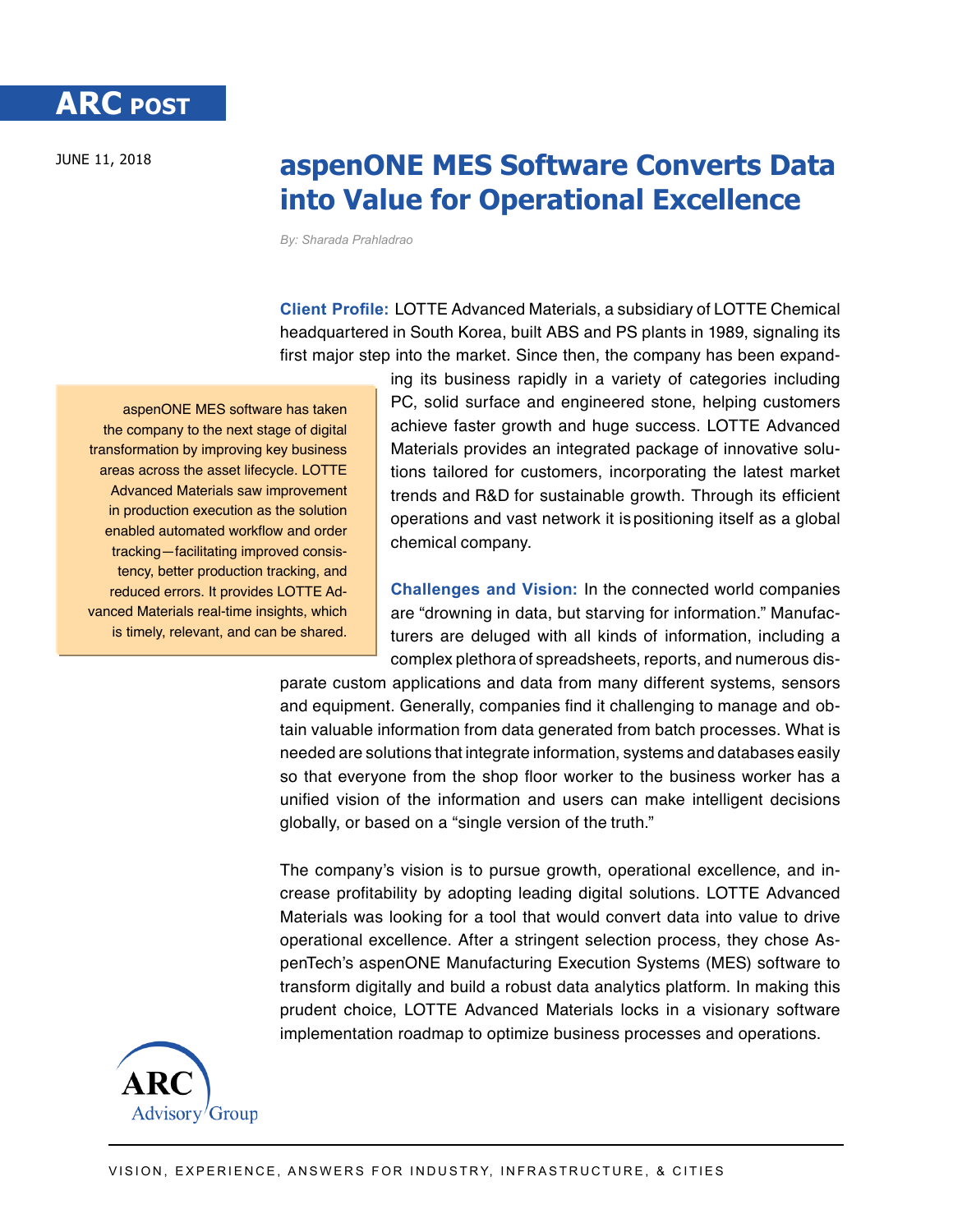## JUNE 11, 2018 **aspenONE MES Software Converts Data into Value for Operational Excellence**

*By: Sharada Prahladrao*

**Client Profile:** LOTTE Advanced Materials, a subsidiary of LOTTE Chemical headquartered in South Korea, built ABS and PS plants in 1989, signaling its first major step into the market. Since then, the company has been expand-

aspenONE MES software has taken the company to the next stage of digital transformation by improving key business areas across the asset lifecycle. LOTTE Advanced Materials saw improvement in production execution as the solution enabled automated workflow and order tracking—facilitating improved consistency, better production tracking, and reduced errors. It provides LOTTE Advanced Materials real-time insights, which is timely, relevant, and can be shared.

ing its business rapidly in a variety of categories including PC, solid surface and engineered stone, helping customers achieve faster growth and huge success. LOTTE Advanced Materials provides an integrated package of innovative solutions tailored for customers, incorporating the latest market trends and R&D for sustainable growth. Through its efficient operations and vast network it is positioning itself as a global chemical company.

**Challenges and Vision:** In the connected world companies are "drowning in data, but starving for information." Manufacturers are deluged with all kinds of information, including a complex plethora of spreadsheets, reports, and numerous dis-

parate custom applications and data from many different systems, sensors and equipment. Generally, companies find it challenging to manage and obtain valuable information from data generated from batch processes. What is needed are solutions that integrate information, systems and databases easily so that everyone from the shop floor worker to the business worker has a unified vision of the information and users can make intelligent decisions globally, or based on a "single version of the truth."

The company's vision is to pursue growth, operational excellence, and increase profitability by adopting leading digital solutions. LOTTE Advanced Materials was looking for a tool that would convert data into value to drive operational excellence. After a stringent selection process, they chose AspenTech's aspenONE Manufacturing Execution Systems (MES) software to transform digitally and build a robust data analytics platform. In making this prudent choice, LOTTE Advanced Materials locks in a visionary software implementation roadmap to optimize business processes and operations.